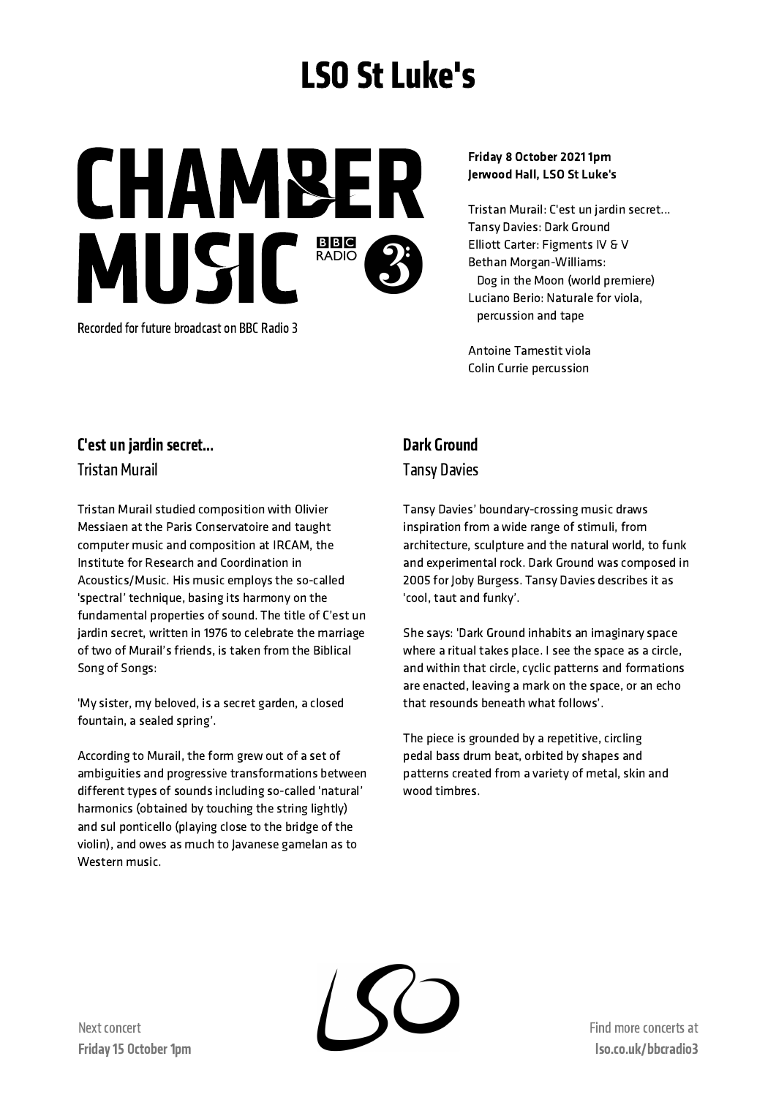# LSO St Luke's

CHAMBE MUSIC<sup>BBB</sup>

Recorded for future broadcast on BBC Radio 3

#### Friday 8 October 2021 1pm Jerwood Hall, LSO St Luke's

Tristan Murail: C'est un jardin secret... Tansy Davies: Dark Ground Elliott Carter: Figments IV & V Bethan Morgan-Williams: Dog in the Moon (world premiere) Luciano Berio: Naturale for viola, percussion and tape

Antoine Tamestit viola Colin Currie percussion

### C'est un jardin secret…

Tristan Murail

Tristan Murail studied composition with Olivier Messiaen at the Paris Conservatoire and taught computer music and composition at IRCAM, the Institute for Research and Coordination in Acoustics/Music. His music employs the so-called 'spectral' technique, basing its harmony on the fundamental properties of sound. The title of C'est un jardin secret, written in 1976 to celebrate the marriage of two of Murail's friends, is taken from the Biblical Song of Songs:

'My sister, my beloved, is a secret garden, a closed fountain, a sealed spring'.

According to Murail, the form grew out of a set of ambiguities and progressive transformations between different types of sounds including so-called 'natural' harmonics (obtained by touching the string lightly) and sul ponticello (playing close to the bridge of the violin), and owes as much to Javanese gamelan as to Western music.

## Dark Ground Tansy Davies

Tansy Davies' boundary-crossing music draws inspiration from a wide range of stimuli, from architecture, sculpture and the natural world, to funk and experimental rock. Dark Ground was composed in 2005 for Joby Burgess. Tansy Davies describes it as 'cool, taut and funky'.

She says: 'Dark Ground inhabits an imaginary space where a ritual takes place. I see the space as a circle, and within that circle, cyclic patterns and formations are enacted, leaving a mark on the space, or an echo that resounds beneath what follows'.

The piece is grounded by a repetitive, circling pedal bass drum beat, orbited by shapes and patterns created from a variety of metal, skin and wood timbres.

Find more concertsat lso.co.uk/bbcradio3

Next concert Friday 15 October 1pm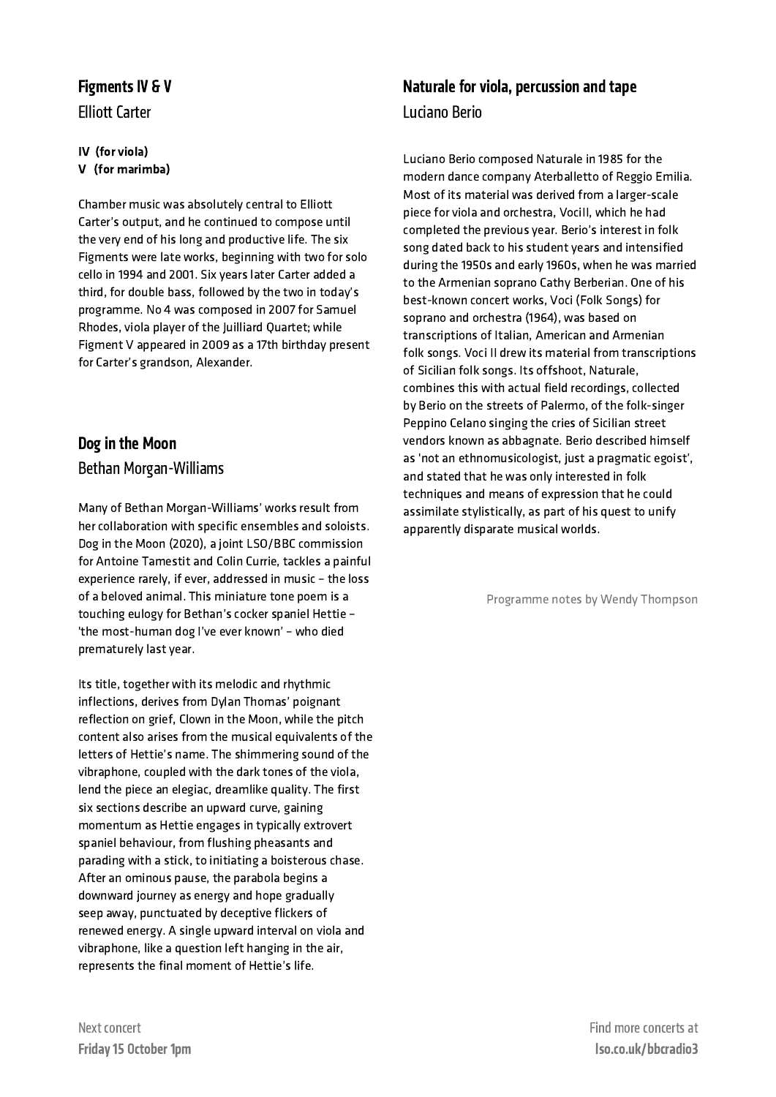#### Figments IV & V

**Elliott Carter** 

#### IV (for viola) V (for marimba)

Chamber music was absolutely central to Elliott Carter's output, and he continued to compose until the very end of his long and productive life. The six Figments were late works, beginning with two for solo cello in 1994 and 2001. Six years later Carter added a third, for double bass, followed by the two in today's programme. No 4 was composed in 2007 for Samuel Rhodes, viola player of the Juilliard Quartet; while Figment V appeared in 2009 as a 17th birthday present for Carter's grandson, Alexander.

## Dogin the Moon Bethan Morgan-Williams

Many of Bethan Morgan-Williams' works result from her collaboration with specific ensembles and soloists. Dog in the Moon (2020), a joint LSO/BBC commission for Antoine Tamestit and Colin Currie, tackles a painful experience rarely, if ever, addressed in music – the loss of a beloved animal. This miniature tone poem is a touching eulogy for Bethan's cocker spaniel Hettie – 'the most-human dog I've ever known' – who died prematurely last year.

Its title, together with its melodic and rhythmic inflections, derives from Dylan Thomas' poignant reflection on grief, Clown in the Moon, while the pitch content also arises from the musical equivalents of the letters of Hettie's name. The shimmering sound of the vibraphone, coupled with the dark tones of the viola, lend the piece an elegiac, dreamlike quality. The first six sections describe an upward curve, gaining momentum as Hettie engages in typically extrovert spaniel behaviour, from flushing pheasants and parading with a stick, to initiating a boisterous chase. After an ominous pause, the parabola begins a downward journey as energy and hope gradually seep away, punctuated by deceptive flickers of renewed energy. A single upward interval on viola and vibraphone, like a question left hanging in the air, represents the final moment of Hettie's life.

### Naturale for viola, percussion and tape Luciano Berio

Luciano Berio composed Naturale in 1985 for the modern dance company Aterballetto of Reggio Emilia. Most of its material was derived from a larger-scale piece for viola and orchestra, VociII, which he had completed the previous year. Berio's interest in folk song dated back to his student years and intensified during the 1950s and early 1960s, when he was married to the Armenian soprano Cathy Berberian. One of his best-known concert works, Voci (Folk Songs) for soprano and orchestra (1964), was based on transcriptions of Italian, American and Armenian folk songs. Voci II drew its material from transcriptions of Sicilian folk songs. Its offshoot, Naturale, combines this with actual field recordings, collected by Berio on the streets of Palermo, of the folk-singer Peppino Celano singing the cries of Sicilian street vendors known as abbagnate. Berio described himself as 'not an ethnomusicologist, just a pragmatic egoist', and stated that he was only interested in folk techniques and means of expression that he could assimilate stylistically, as part of his quest to unify apparently disparate musical worlds.

Programme notes by Wendy Thompson